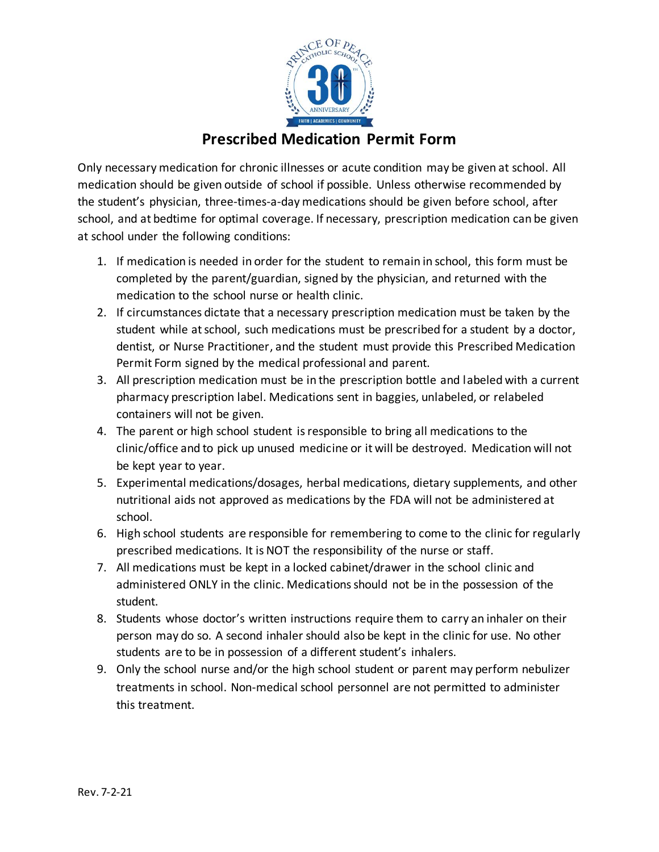

## **Prescribed Medication Permit Form**

Only necessary medication for chronic illnesses or acute condition may be given at school. All medication should be given outside of school if possible. Unless otherwise recommended by the student's physician, three-times-a-day medications should be given before school, after school, and at bedtime for optimal coverage. If necessary, prescription medication can be given at school under the following conditions:

- 1. If medication is needed in order for the student to remain in school, this form must be completed by the parent/guardian, signed by the physician, and returned with the medication to the school nurse or health clinic.
- 2. If circumstances dictate that a necessary prescription medication must be taken by the student while at school, such medications must be prescribed for a student by a doctor, dentist, or Nurse Practitioner, and the student must provide this Prescribed Medication Permit Form signed by the medical professional and parent.
- 3. All prescription medication must be in the prescription bottle and labeled with a current pharmacy prescription label. Medications sent in baggies, unlabeled, or relabeled containers will not be given.
- 4. The parent or high school student is responsible to bring all medications to the clinic/office and to pick up unused medicine or it will be destroyed. Medication will not be kept year to year.
- 5. Experimental medications/dosages, herbal medications, dietary supplements, and other nutritional aids not approved as medications by the FDA will not be administered at school.
- 6. High school students are responsible for remembering to come to the clinic for regularly prescribed medications. It is NOT the responsibility of the nurse or staff.
- 7. All medications must be kept in a locked cabinet/drawer in the school clinic and administered ONLY in the clinic. Medications should not be in the possession of the student.
- 8. Students whose doctor's written instructions require them to carry an inhaler on their person may do so. A second inhaler should also be kept in the clinic for use. No other students are to be in possession of a different student's inhalers.
- 9. Only the school nurse and/or the high school student or parent may perform nebulizer treatments in school. Non-medical school personnel are not permitted to administer this treatment.